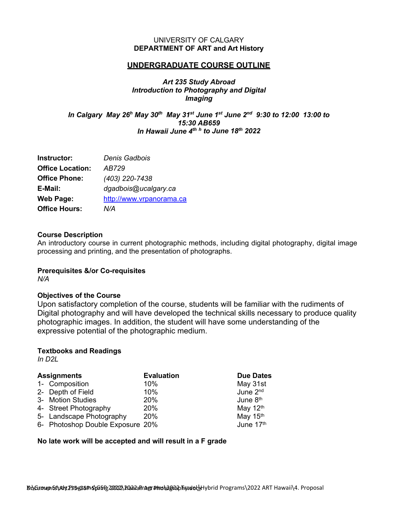### UNIVERSITY OF CALGARY **DEPARTMENT OF ART and Art History**

### **UNDERGRADUATE COURSE OUTLINE**

# *Art 235 Study Abroad Introduction to Photography and Digital Imaging*

*In Calgary May 26h May 30th May 31st June 1st June 2nd 9:30 to 12:00 13:00 to 15:30 AB659 In Hawaii June 4th <sup>h</sup> to June 18th 2022*

| Instructor:             | Denis Gadbois            |
|-------------------------|--------------------------|
| <b>Office Location:</b> | AB729                    |
| <b>Office Phone:</b>    | (403) 220-7438           |
| E-Mail:                 | dgadbois@ucalgary.ca     |
| <b>Web Page:</b>        | http://www.vrpanorama.ca |
| <b>Office Hours:</b>    | N/A                      |

#### **Course Description**

An introductory course in current photographic methods, including digital photography, digital image processing and printing, and the presentation of photographs.

### **Prerequisites &/or Co-requisites**

*N/A*

### **Objectives of the Course**

Upon satisfactory completion of the course, students will be familiar with the rudiments of Digital photography and will have developed the technical skills necessary to produce quality photographic images. In addition, the student will have some understanding of the expressive potential of the photographic medium.

### **Textbooks and Readings**

*In D2L*

| <b>Assignments</b> |                                  | <b>Evaluation</b> | <b>Due Dates</b>     |
|--------------------|----------------------------------|-------------------|----------------------|
|                    | 1- Composition                   | 10%               | May 31st             |
|                    | 2- Depth of Field                | 10%               | June 2 <sup>nd</sup> |
|                    | 3- Motion Studies                | 20%               | June 8 <sup>th</sup> |
|                    | 4- Street Photography            | 20%               | May 12th             |
|                    | 5- Landscape Photography         | 20%               | May 15th             |
|                    | 6- Photoshop Double Exposure 20% |                   | June 17th            |

### **No late work will be accepted and will result in a F grade**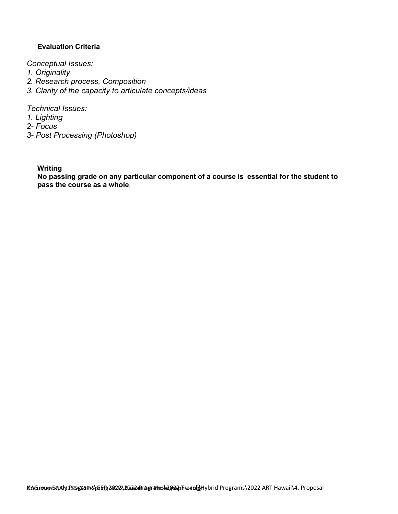# **Evaluation Criteria**

*Conceptual Issues:*

*1. Originality*

- *2. Research process, Composition*
- *3. Clarity of the capacity to articulate concepts/ideas*

*Technical Issues:*

- *1. Lighting*
- *2- Focus*
- *3- Post Processing (Photoshop)*

**Writing**

**No passing grade on any particular component of a course is essential for the student to pass the course as a whole**.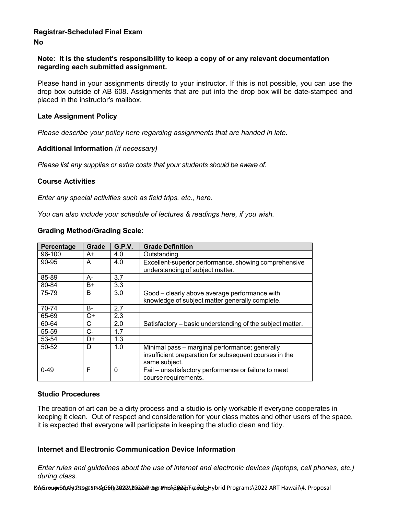### **Registrar-Scheduled Final Exam No**

### **Note: It is the student's responsibility to keep a copy of or any relevant documentation regarding each submitted assignment.**

Please hand in your assignments directly to your instructor. If this is not possible, you can use the drop box outside of AB 608. Assignments that are put into the drop box will be date-stamped and placed in the instructor's mailbox.

### **Late Assignment Policy**

*Please describe your policy here regarding assignments that are handed in late.*

### **Additional Information** *(if necessary)*

*Please list any supplies or extra costs that your students should be aware of.*

### **Course Activities**

*Enter any special activities such as field trips, etc., here.*

*You can also include your schedule of lectures & readings here, if you wish.*

|  | <b>Grading Method/Grading Scale:</b> |  |
|--|--------------------------------------|--|
|--|--------------------------------------|--|

| Percentage | <b>Grade</b> | G.P.V.   | <b>Grade Definition</b>                                                                                                   |
|------------|--------------|----------|---------------------------------------------------------------------------------------------------------------------------|
| 96-100     | A+           | 4.0      | Outstanding                                                                                                               |
| 90-95      | A            | 4.0      | Excellent-superior performance, showing comprehensive<br>understanding of subject matter.                                 |
| 85-89      | А-           | 3.7      |                                                                                                                           |
| 80-84      | B+           | 3.3      |                                                                                                                           |
| 75-79      | B            | 3.0      | Good - clearly above average performance with<br>knowledge of subject matter generally complete.                          |
| 70-74      | В-           | 2.7      |                                                                                                                           |
| 65-69      | C+           | 2.3      |                                                                                                                           |
| 60-64      | С            | 2.0      | Satisfactory – basic understanding of the subject matter.                                                                 |
| 55-59      | C-           | 1.7      |                                                                                                                           |
| 53-54      | D+           | 1.3      |                                                                                                                           |
| 50-52      | D            | 1.0      | Minimal pass - marginal performance; generally<br>insufficient preparation for subsequent courses in the<br>same subject. |
| $0 - 49$   | F            | $\Omega$ | Fail - unsatisfactory performance or failure to meet<br>course requirements.                                              |

### **Studio Procedures**

The creation of art can be a dirty process and a studio is only workable if everyone cooperates in keeping it clean. Out of respect and consideration for your class mates and other users of the space, it is expected that everyone will participate in keeping the studio clean and tidy.

### **Internet and Electronic Communication Device Information**

*Enter rules and guidelines about the use of internet and electronic devices (laptops, cell phones, etc.) during class.*

Do**\Group &\Ayt235gG8P+S\GGfR20222\P&WaFrAgr#ms\2022** Art Ybrid Programs\2022 ART Hawaii\4. Proposal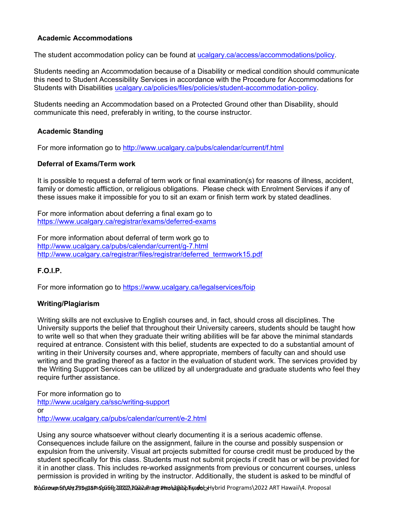# **Academic Accommodations**

The student accommodation policy can be found at [ucalgary.ca/access/accommodations/policy.](http://www.ucalgary.ca/access/accommodations/policy)

Students needing an Accommodation because of a Disability or medical condition should communicate this need to Student Accessibility Services in accordance with the Procedure for Accommodations for Students with Disabilities [ucalgary.ca/policies/files/policies/student-accommodation-policy.](http://www.ucalgary.ca/policies/files/policies/student-accommodation-policy.pdf)

Students needing an Accommodation based on a Protected Ground other than Disability, should communicate this need, preferably in writing, to the course instructor.

# **Academic Standing**

For more information go to <http://www.ucalgary.ca/pubs/calendar/current/f.html>

### **Deferral of Exams/Term work**

It is possible to request a deferral of term work or final examination(s) for reasons of illness, accident, family or domestic affliction, or religious obligations. Please check with Enrolment Services if any of these issues make it impossible for you to sit an exam or finish term work by stated deadlines.

For more information about deferring a final exam go to <https://www.ucalgary.ca/registrar/exams/deferred-exams>

For more information about deferral of term work go to <http://www.ucalgary.ca/pubs/calendar/current/g-7.html> [http://www.ucalgary.ca/registrar/files/registrar/deferred\\_termwork15.pdf](http://www.ucalgary.ca/registrar/files/registrar/deferred_termwork15.pdf)

### **F.O.I.P.**

For more information go to <https://www.ucalgary.ca/legalservices/foip>

# **Writing/Plagiarism**

Writing skills are not exclusive to English courses and, in fact, should cross all disciplines. The University supports the belief that throughout their University careers, students should be taught how to write well so that when they graduate their writing abilities will be far above the minimal standards required at entrance. Consistent with this belief, students are expected to do a substantial amount of writing in their University courses and, where appropriate, members of faculty can and should use writing and the grading thereof as a factor in the evaluation of student work. The services provided by the Writing Support Services can be utilized by all undergraduate and graduate students who feel they require further assistance.

For more information go to <http://www.ucalgary.ca/ssc/writing-support> or <http://www.ucalgary.ca/pubs/calendar/current/e-2.html>

Using any source whatsoever without clearly documenting it is a serious academic offense. Consequences include failure on the assignment, failure in the course and possibly suspension or expulsion from the university. Visual art projects submitted for course credit must be produced by the student specifically for this class. Students must not submit projects if credit has or will be provided for it in another class. This includes re-worked assignments from previous or concurrent courses, unless permission is provided in writing by the instructor. Additionally, the student is asked to be mindful of

Do**\Group Et\Ay P354GBP:S\GGFR 20222\PGA2aFiragr#mo\2022 Firedel** Hybrid Programs \2022 ART Hawaii\4. Proposal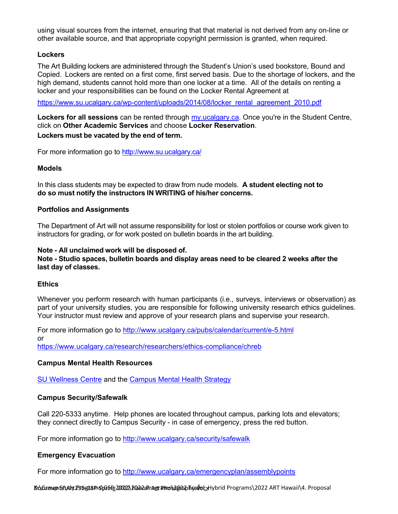using visual sources from the internet, ensuring that that material is not derived from any on-line or other available source, and that appropriate copyright permission is granted, when required.

### **Lockers**

The Art Building lockers are administered through the Student's Union's used bookstore, Bound and Copied. Lockers are rented on a first come, first served basis. Due to the shortage of lockers, and the high demand, students cannot hold more than one locker at a time. All of the details on renting a locker and your responsibilities can be found on the Locker Rental [Agreement](http://www.su.ucalgary.ca/system/files/content/quality-education/aca-services/docs/locker_rental_agreement_2010.pdf) at

[https://www.su.ucalgary.ca/wp-content/uploads/2014/08/locker\\_rental\\_agreement\\_2010.pdf](https://www.su.ucalgary.ca/wp-content/uploads/2014/08/locker_rental_agreement_2010.pdf)

**Lockers for all sessions** can be rented through [my.ucalgary.ca.](http://my.ucalgary.ca/) Once you're in the Student Centre, click on **Other Academic Services** and choose **Locker Reservation**. **Lockers must be vacated by the end of term.**

For more information go to <http://www.su.ucalgary.ca/>

### **Models**

In this class students may be expected to draw from nude models. **A student electing not to do so must notify the instructors IN WRITING of his/her concerns.**

#### **Portfolios and Assignments**

The Department of Art will not assume responsibility for lost or stolen portfolios or course work given to instructors for grading, or for work posted on bulletin boards in the art building.

#### **Note - All unclaimed work will be disposed of. Note - Studio spaces, bulletin boards and display areas need to be cleared 2 weeks after the last day of classes.**

### **Ethics**

Whenever you perform research with human participants (i.e., surveys, interviews or observation) as part of your university studies, you are responsible for following university research ethics guidelines. Your instructor must review and approve of your research plans and supervise your research.

For more information go to <http://www.ucalgary.ca/pubs/calendar/current/e-5.html> or <https://www.ucalgary.ca/research/researchers/ethics-compliance/chreb>

### **Campus Mental Health Resources**

[SU Wellness Centre](http://www.ucalgary.ca/wellnesscentre/) and the [Campus Mental Health Strategy](https://www.ucalgary.ca/mentalhealth/)

### **Campus Security/Safewalk**

Call 220-5333 anytime. Help phones are located throughout campus, parking lots and elevators; they connect directly to Campus Security - in case of emergency, press the red button.

For more information go to <http://www.ucalgary.ca/security/safewalk>

### **Emergency Evacuation**

For more information go to<http://www.ucalgary.ca/emergencyplan/assemblypoints>

Do**\Group Et\Ay P354GBP:S\GGFR 20222\PGA2aFirAgr#mo\2022 Fire Jec**tMybrid Programs \2022 ART Hawaii\4. Proposal